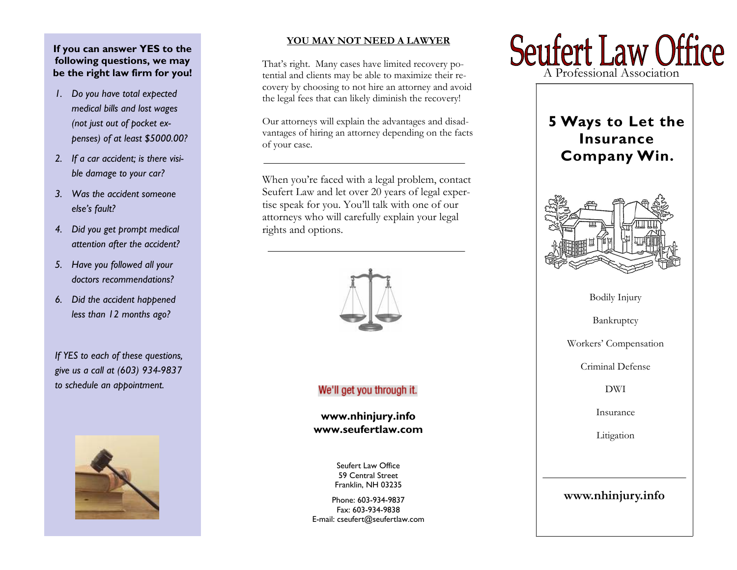# **If you can answer YES to the following questions, we may be the right law firm for you!**

- *1. Do you have total expected medical bills and lost wages (not just out of pocket expenses) of at least \$5000.00?*
- *2. If a car accident; is there visible damage to your car?*
- *3. Was the accident someone else's fault?*
- *4. Did you get prompt medical attention after the accident?*
- *5. Have you followed all your doctors recommendations?*
- *6. Did the accident happened less than 12 months ago?*

*If YES to each of these questions, give us a call at (603) 934-9837 to schedule an appointment.* 



## **YOU MAY NOT NEED A LAWYER**

That's right. Many cases have limited recovery potential and clients may be able to maximize their recovery by choosing to not hire an attorney and avoid the legal fees that can likely diminish the recovery!

Our attorneys will explain the advantages and disadvantages of hiring an attorney depending on the facts of your case.

When you're faced with a legal problem, contact Seufert Law and let over 20 years of legal expertise speak for you. You'll talk with one of our attorneys who will carefully explain your legal rights and options.



# We'll get you through it.

**www.nhinjury.info www.seufertlaw.com** 

> Seufert Law Office 59 Central Street Franklin, NH 03235

Phone: 603-934-9837 Fax: 603-934-9838 E-mail: cseufert@seufertlaw.com



# **5 Ways to Let the Insurance Company Win.**



Bodily Injury

Bankruptcy

Workers' Compensation

Criminal Defense

DWI

Insurance

Litigation

# **www.nhinjury.info**